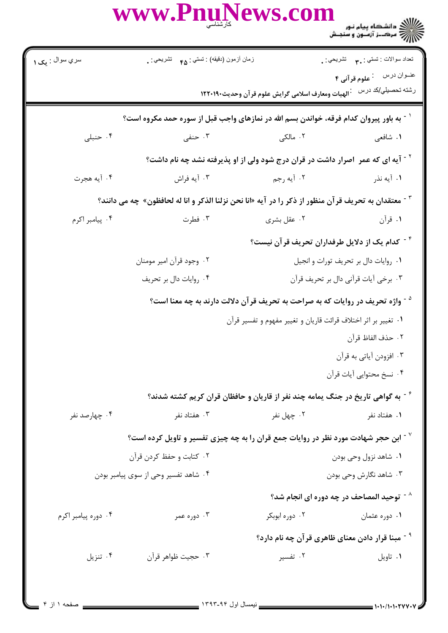|                                                                                                     | WWW.PnuNews.com                                                                                     |                | ے ۔<br>کا اللہ کا مقام ہیام نور<br>کا اللہ مرکبز آزمون و سنجش                                          |  |  |
|-----------------------------------------------------------------------------------------------------|-----------------------------------------------------------------------------------------------------|----------------|--------------------------------------------------------------------------------------------------------|--|--|
| سري سوال : پې ۱                                                                                     | زمان أزمون (دقيقه) : تستي : ۴۵ - تشريحي                                                             |                | تعداد سوالات : تستي : پم       تشريحي : .                                                              |  |  |
|                                                                                                     |                                                                                                     |                | عنوان درس في علوم قرآني ۴<br>رشته تحصيلي/كد در سماه أالهيات ومعارف اسلامى گرايش علوم قرآن وحديث١٢٢٠١٩٠ |  |  |
|                                                                                                     | <sup>۱</sup> - به باور پیروان کدام فرقه، خواندن بسم الله در نمازهای واجب قبل از سوره حمد مکروه است؟ |                |                                                                                                        |  |  |
| ۰۴ حنبلی                                                                                            | ۰۳ حنفی                                                                                             | ۲. مالکی       | ۱. شافعي                                                                                               |  |  |
|                                                                                                     | <sup>۲ -</sup> آیه ای که عمر  اصرار داشت در قران درج شود ولی از او پذیرفته نشد چه نام داشت؟         |                |                                                                                                        |  |  |
| ۰۴ آيه هجرت                                                                                         | ۰۳ آيه فراش                                                                                         | ۰۲ آیه رجم     | ۰۱ آیه نذر                                                                                             |  |  |
| معتقدان به تحريف قرآن منظور از ذكر را در آيه «انا نحن نزلنا الذكر و انا له لحافظون»  چه می دانند؟ " |                                                                                                     |                |                                                                                                        |  |  |
| ۰۴ پیامبر اکرم                                                                                      | ۰۳ فطرت                                                                                             | ۰۲ عقل بشری    | ۰۱ قرآن                                                                                                |  |  |
|                                                                                                     |                                                                                                     |                | <sup>۴ -</sup> كدام یک از دلایل طرفداران تحریف قر آن نیست؟                                             |  |  |
|                                                                                                     | ۰۲ وجود قرآن امیر مومنان                                                                            |                | ٠١ روايات دال بر تحريف تورات و انجيل                                                                   |  |  |
|                                                                                                     | ۰۴ روايات دال بر تحريف                                                                              |                | ٠٣ برخي أيات قرأني دال بر تحريف قرأن                                                                   |  |  |
|                                                                                                     | <sup>۵ -</sup> واژه تحریف در روایات که به صراحت به تحریف قرآن دلالت دارند به چه معنا است؟           |                |                                                                                                        |  |  |
|                                                                                                     | ۰۱ تغییر بر اثر اختلاف قرائت قاریان و تغییر مفهوم و تفسیر قرآن                                      |                |                                                                                                        |  |  |
|                                                                                                     |                                                                                                     |                | ٠٢ حذف الفاظ قرآن                                                                                      |  |  |
|                                                                                                     |                                                                                                     |                | ۰۳ افزودن آیاتی به قرآن                                                                                |  |  |
|                                                                                                     |                                                                                                     |                | ۰۴ نسخ محتوايي آيات قرآن                                                                               |  |  |
|                                                                                                     | ٔ آ به گواهی تاریخ در جنگ یمامه چند نفر از قاریان و حافظان قران کریم کشته شدند؟                     |                |                                                                                                        |  |  |
| ۰۴ چهارصد نفر                                                                                       | ۰۳ هفتاد نفر                                                                                        | ۰۲ چهل نفر     | ۰۱ هفتاد نفر                                                                                           |  |  |
|                                                                                                     | ابن حجر شهادت مورد نظر در روایات جمع قران را به چه چیزی تفسیر و تاویل کرده است؟ "                   |                |                                                                                                        |  |  |
|                                                                                                     | ۰۲ کتابت و حفظ کردن قرآن                                                                            |                | ۰۱ شاهد نزول وحي بودن                                                                                  |  |  |
|                                                                                                     | ۰۴ شاهد تفسیر وحی از سوی پیامبر بودن                                                                |                | ۰۳ شاهد نگارش وحی بودن                                                                                 |  |  |
|                                                                                                     |                                                                                                     |                | $^{\wedge}$ توحید المصاحف در چه دوره ای انجام شد "                                                     |  |  |
| ۰۴ دوره پیامبر اکرم                                                                                 | ۰۳ دوره عمر                                                                                         | ۰۲ دوره ابوبکر | ۰۱ دوره عثمان                                                                                          |  |  |
|                                                                                                     |                                                                                                     |                | <sup>۹ -</sup> مبنا قرار دادن معنای ظاهری قرآن چه نام دارد؟                                            |  |  |
| ۰۴ تنزیل                                                                                            | ۰۳ حجيت ظواهر قرآن                                                                                  | ۰۲ تفسیر       | ٠١ تاويل                                                                                               |  |  |
|                                                                                                     |                                                                                                     |                |                                                                                                        |  |  |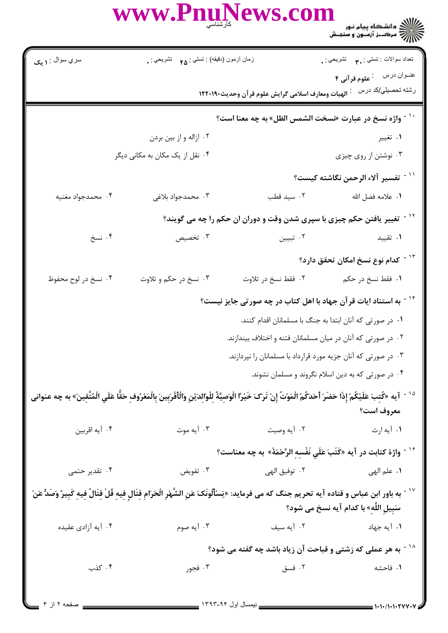www.Pnul سري سوال : **۱ بک** نعداد سوالات : نستبي : پم نشريحي : <sub>.</sub> زمان أزمون (دقيقه) : تستي : <sub>۴۵</sub> تشريحي : .

رشته تحصیلي/کد درس ۔ : الهیات ومعارف اسلامی گرایش علوم قر آن وحدیث۱۲۲۰۱۹۰

<sup>۱۰ -</sup> واژه نسخ در عبارت «نسخت الشمس الظل» به چه معنا است؟ ۰۱ تغییر ۰۲ ازاله و از بین بردن ۰۴ نقل از یک مکان به مکان*ی* دیگر

۰۳ نوشتن از روی چیزی ۰<sup>۱۱ -</sup> تفسیر آلاء الرحمن نگاشته کیست؟

٢. سيد قطب **١.** علامه فضل الله ۰۴ محمدجواد مغنيه ۰۳ محمدجواد بلاغی

<sup>۱۲ -</sup> تغییر یافتن حکم چیزی با سپری شدن وقت و دوران ان حکم را چه می گویند؟

۰۲ تبیین ۰۴ نسخ ۰۳ تخصیص ۰۱ تقیید

<sup>۱۳ -</sup> کدام نوع نسخ امکان تحقق دارد؟

۰۴ نسخ در لوح محفوظ ۰۳ نسخ در حکم و تلاوت ٢. فقط نسخ در تلاوت ۱. فقط نسخ در حکم

<sup>۱۴ -</sup> به استناد ایات قرآن جهاد با اهل کتاب در چه صورتی جایز نیست؟

- ٠١ در صورتي كه آنان ابتدا به جنگ با مسلمانان اقدام كنند. ۰۲ در صورتی که آنان در میان مسلمانان فتنه و اختلاف بیندازند. ۰۳ در صورتی که آنان جزیه مورد قرارداد با مسلمانان را نپردازند.
	- ۰۴ در صورتی که به دین اسلام نگروند و مسلمان نشوند.
- <sup>د ١ -</sup> آيه «كُتبَ عَلَيْكُمْ إِذَا حَضَرَ ٱحَدَكُمُ الْمَوْتُ إِنْ تَرَ<sup>ى</sup> خَيْرًا الْوَصِيَّةُ لِلْوَالِدَيْنِ وَالْأَقْرَبِينَ بِالْمَعْرُوفِ حَقًّا عَلَي الْمُتَّقِينَ» به چه عنوانى معروف است؟

۰۴ آيه اقربين ۰۲ آيه وصيت ١. آيه ارث ۰۳ آبه موت

- <sup>۱۶ -</sup> واژهٔ کتابت در آیه «کَتَبَ عَلَی نَفْسه الرَّحْمَةَ» به چه معناست؟
- ۰۳ تفویض ۰۴ تقدیر حتمی ۰۲ توفيق الهي ۰۱ علم الهي

`` - به باور ابن عباس و قتاده آيه تحريم جنگ كه مى فرمايد: «يَسْأَلُونَكَ عَنِ الشَّهْرِ الْحَرَامِ قِتَالِ فِيهِ قُلْ قِتَالٍّ فِيهِ كَبِيرٌ وَصَدٌّ عَنْ سَبِيل اللَّه» با كدام آيه نسخ مي شود؟

۰۳ آيه صوم ۰۲ آبه سيف ۰۴ آیه آزادی عقیده ۰۱ آیه جهاد

<sup>۱۸ -</sup> به هر عملی که زشتی و قباحت آن زیاد باشد چه گفته می شود؟

۰۳ فجور ۰۲ فسق ۰۱ فاحشه

 $P \parallel I \parallel$ 

۰۴ کذب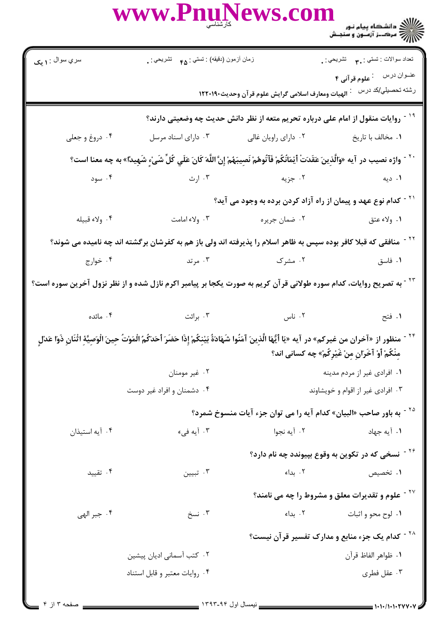|                        | www.PnuNews.com                                    |               |                                                                                                                                                                                                                                         |
|------------------------|----------------------------------------------------|---------------|-----------------------------------------------------------------------------------------------------------------------------------------------------------------------------------------------------------------------------------------|
| سري سوال : <b>۱ يک</b> | زمان أزمون (دقيقه) : تستي : ۴۵ $\delta$ تشريحي : . |               | تعداد سوالات : تستبي : ٣ <b>. س</b> تشريحي : .                                                                                                                                                                                          |
|                        |                                                    |               | عنوان درس في علوم قرآني ۴                                                                                                                                                                                                               |
|                        |                                                    |               | <sup>۱۹ -</sup> روایات منقول از امام علی درباره تحریم متعه از نظر دانش حدیث چه وضعیتی دارند؟                                                                                                                                            |
| ۰۴ دروغ و جعلی         | ۰۳ دارای اسناد مرسل                                |               | ۰۱ مخالف با تاریخ مسلم ۲۰ دارای راویان غالی                                                                                                                                                                                             |
|                        |                                                    |               | `` - واژه نصيب در آيه «وَالَّذِينَ عَقَدَتْ أَيْمَانُكُمْ فَآتُوهُمْ نَصِيبَهُمْ إِنَّ اللَّهَ كَانَ عَلَي كُلِّ شَيْءٍ شَهِيدًا» به چه معنا است؟                                                                                       |
| ۰۴ سود                 |                                                    |               | ۰۱ دیه است که جزیه است که ارث                                                                                                                                                                                                           |
|                        |                                                    |               | <sup>۲۱ -</sup> کدام نوع عهد و پیمان از راه آزاد کردن برده به وجود می آید؟                                                                                                                                                              |
| ۴. ولاء قبيله          | ۰۳ ولاء امامت                                      | ۰۲ ضمان جريره | ١. ولاء عتق                                                                                                                                                                                                                             |
|                        |                                                    |               | <sup>71</sup> - منافقی که قبلا کافر بوده سپس به ظاهر اسلام را پذیرفته اند ولی باز هم به کفرشان برگشته اند چه نامیده می شوند؟                                                                                                            |
| ۰۴ خوارج               | ا مرتد $\mathsf{r}$                                | ۰۲ مشرک       | ۰۱ فاسق                                                                                                                                                                                                                                 |
|                        |                                                    |               | <sup>۲۲ -</sup> به تصریح روایات، کدام سوره طولانی قرآن کریم به صورت یکجا بر پیامبر اکرم نازل شده و از نظر نزول آخرین سوره است؟                                                                                                          |
|                        | ۰۳ برائت مائده در                                  |               | ا فتح المستخدم المستخدم المستخدم المستخدم المستخدم المستخدم المستخدم المستخدم المستخدم المستخدم المستخدم المستخ                                                                                                                         |
|                        |                                                    |               | <sup>٢۴ -</sup> منظور از «آخران من غيركم» در آيه «يَا أيُّهَا الَّذِينَ آمَنُوا شَهَادَةُ بَيْنِكُمْ إِذَا حَضَرَ أحَدَكُمُ الْمَوْتُ حِينَ الْوَصِيَّةِ اثْنَانِ ذَوَا عَدْلِ<br>مِنْكُمْ أَوْ آخَرَانِ مِنْ غَيْرِكُمْ» چه كسانى اند؟ |
|                        | ۰۲ غیر مومنان                                      |               | ۰۱ افرادي غير از مردم مدينه                                                                                                                                                                                                             |
|                        | ۰۴ دشمنان و افراد غیر دوست                         |               | ۰۳ افرادی غیر از اقوام و خویشاوند                                                                                                                                                                                                       |
|                        |                                                    |               | <sup>۲۵ -</sup> به باور صاحب «البیان» کدام آیه را می توان جزء آیات منسوخ شمرد؟                                                                                                                                                          |
| ۰۴ آیه استیذان         | ۰۳ آیه فیء                                         | ۰۲ آيه نجوا   | ۰۱ آیه جهاد                                                                                                                                                                                                                             |
|                        |                                                    |               | <sup>۲۶ -</sup> نسخی که در تکوین به وقوع بپیوندد چه نام دارد؟                                                                                                                                                                           |
| ۰۴ تقیید               | تبيين $\cdot^{\mathsf{v}}$                         | ۰۲ بداء       | ۰۱ تخصیص                                                                                                                                                                                                                                |
|                        |                                                    |               | <sup>۲۷ -</sup> علوم و تقدیرات معلق و مشروط را چه می نامند؟                                                                                                                                                                             |
| ۰۴ جبر الهي            | ۰۳ نسخ                                             | ۰۲ بداء       | ۰۱ لوح محو و اثبات                                                                                                                                                                                                                      |
|                        |                                                    |               | <sup>۲۸ -</sup> کدام یک جزء منابع و مدارک تفسیر قرآن نیست؟                                                                                                                                                                              |
|                        | ۰۲ کتب آسمانی ادیان پیشین                          |               | ٠١. ظواهر الفاظ قرآن                                                                                                                                                                                                                    |
|                        | ۰۴ روایات معتبر و قابل استناد                      |               | ۰۳ عقل فطری                                                                                                                                                                                                                             |
|                        |                                                    |               |                                                                                                                                                                                                                                         |